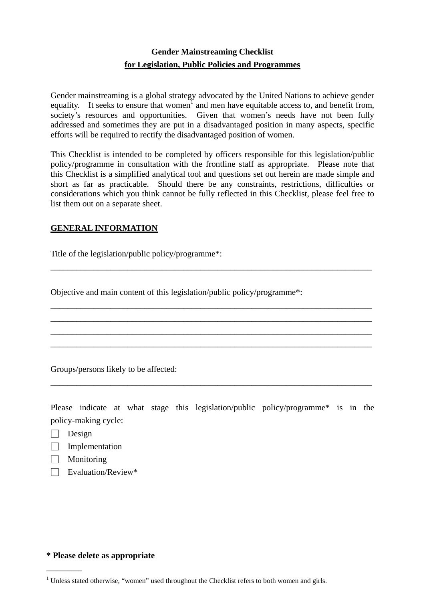# **Gender Mainstreaming Checklist for Legislation, Public Policies and Programmes**

Gender mainstreaming is a global strategy advocated by the United Nations to achieve gender equality. It seeks to ensure that women<sup>1</sup> and men have equitable access to, and benefit from, society's resources and opportunities. Given that women's needs have not been fully addressed and sometimes they are put in a disadvantaged position in many aspects, specific efforts will be required to rectify the disadvantaged position of women.

This Checklist is intended to be completed by officers responsible for this legislation/public policy/programme in consultation with the frontline staff as appropriate. Please note that this Checklist is a simplified analytical tool and questions set out herein are made simple and short as far as practicable. Should there be any constraints, restrictions, difficulties or considerations which you think cannot be fully reflected in this Checklist, please feel free to list them out on a separate sheet.

\_\_\_\_\_\_\_\_\_\_\_\_\_\_\_\_\_\_\_\_\_\_\_\_\_\_\_\_\_\_\_\_\_\_\_\_\_\_\_\_\_\_\_\_\_\_\_\_\_\_\_\_\_\_\_\_\_\_\_\_\_\_\_\_\_\_\_\_\_\_\_\_\_\_\_

\_\_\_\_\_\_\_\_\_\_\_\_\_\_\_\_\_\_\_\_\_\_\_\_\_\_\_\_\_\_\_\_\_\_\_\_\_\_\_\_\_\_\_\_\_\_\_\_\_\_\_\_\_\_\_\_\_\_\_\_\_\_\_\_\_\_\_\_\_\_\_\_\_\_\_ \_\_\_\_\_\_\_\_\_\_\_\_\_\_\_\_\_\_\_\_\_\_\_\_\_\_\_\_\_\_\_\_\_\_\_\_\_\_\_\_\_\_\_\_\_\_\_\_\_\_\_\_\_\_\_\_\_\_\_\_\_\_\_\_\_\_\_\_\_\_\_\_\_\_\_ \_\_\_\_\_\_\_\_\_\_\_\_\_\_\_\_\_\_\_\_\_\_\_\_\_\_\_\_\_\_\_\_\_\_\_\_\_\_\_\_\_\_\_\_\_\_\_\_\_\_\_\_\_\_\_\_\_\_\_\_\_\_\_\_\_\_\_\_\_\_\_\_\_\_\_ \_\_\_\_\_\_\_\_\_\_\_\_\_\_\_\_\_\_\_\_\_\_\_\_\_\_\_\_\_\_\_\_\_\_\_\_\_\_\_\_\_\_\_\_\_\_\_\_\_\_\_\_\_\_\_\_\_\_\_\_\_\_\_\_\_\_\_\_\_\_\_\_\_\_\_

# **GENERAL INFORMATION**

Title of the legislation/public policy/programme\*:

Objective and main content of this legislation/public policy/programme\*:

Groups/persons likely to be affected:

Please indicate at what stage this legislation/public policy/programme\* is in the policy-making cycle:

\_\_\_\_\_\_\_\_\_\_\_\_\_\_\_\_\_\_\_\_\_\_\_\_\_\_\_\_\_\_\_\_\_\_\_\_\_\_\_\_\_\_\_\_\_\_\_\_\_\_\_\_\_\_\_\_\_\_\_\_\_\_\_\_\_\_\_\_\_\_\_\_\_\_\_

□ Design

 $\overline{\phantom{a}}$ 

- $\Box$  Implementation
- □ Monitoring
- $\Box$  Evaluation/Review\*

## **\* Please delete as appropriate**

 $1$  Unless stated otherwise, "women" used throughout the Checklist refers to both women and girls.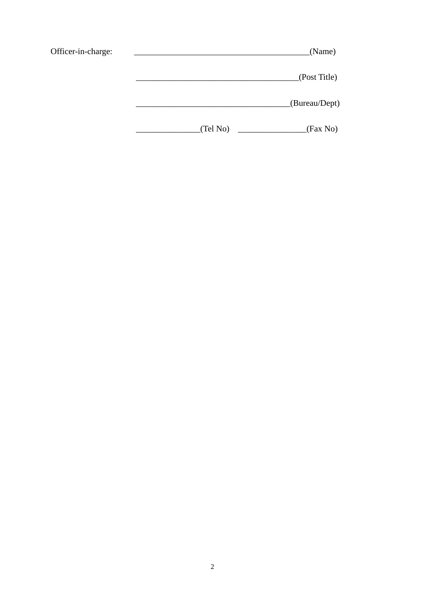| Officer-in-charge: |          | (Name)        |
|--------------------|----------|---------------|
|                    |          | (Post Title)  |
|                    |          | (Bureau/Dept) |
|                    | (Tel No) | (Fax No)      |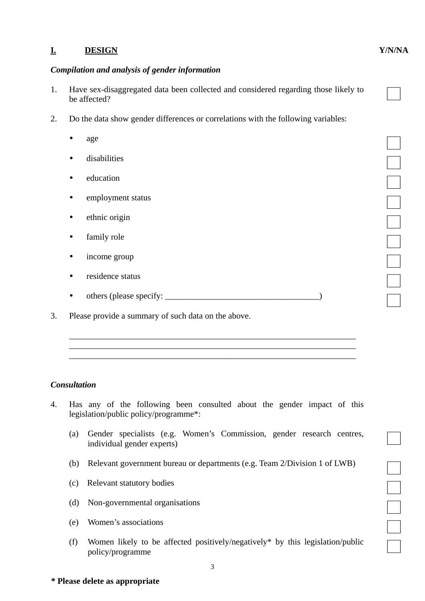# **I. DESIGN Y/N/NA**

## *Compilation and analysis of gender information*

- 1. Have sex-disaggregated data been collected and considered regarding those likely to be affected?
- 2. Do the data show gender differences or correlations with the following variables:
	- $q$  age  $q$
	- disabilities □
	- education □
	- employment status □
	- ethnic origin □
	- family role □
	- income group □
	- residence status □
	- $\begin{array}{|c|c|} \hline \text{4.432} & \text{5.4433} & \text{6.4533} \\ \hline \text{5.453} & \text{6.4733} & \text{6.4733} \\ \hline \text{6.473} & \text{6.4733} & \text{6.4733} \\ \hline \text{7.473} & \text{7.4733} & \text{7.4733} & \text{7.4733} \\ \hline \text{8.473} & \text{8.4733} & \text{8.4733} & \text{8.4733} \\ \hline \text{9.473}$

 \_\_\_\_\_\_\_\_\_\_\_\_\_\_\_\_\_\_\_\_\_\_\_\_\_\_\_\_\_\_\_\_\_\_\_\_\_\_\_\_\_\_\_\_\_\_\_\_\_\_\_\_\_\_\_\_\_\_\_\_\_\_\_\_\_\_\_  $\overline{\phantom{a}}$  ,  $\overline{\phantom{a}}$  ,  $\overline{\phantom{a}}$  ,  $\overline{\phantom{a}}$  ,  $\overline{\phantom{a}}$  ,  $\overline{\phantom{a}}$  ,  $\overline{\phantom{a}}$  ,  $\overline{\phantom{a}}$  ,  $\overline{\phantom{a}}$  ,  $\overline{\phantom{a}}$  ,  $\overline{\phantom{a}}$  ,  $\overline{\phantom{a}}$  ,  $\overline{\phantom{a}}$  ,  $\overline{\phantom{a}}$  ,  $\overline{\phantom{a}}$  ,  $\overline{\phantom{a}}$  $\overline{\phantom{a}}$  ,  $\overline{\phantom{a}}$  ,  $\overline{\phantom{a}}$  ,  $\overline{\phantom{a}}$  ,  $\overline{\phantom{a}}$  ,  $\overline{\phantom{a}}$  ,  $\overline{\phantom{a}}$  ,  $\overline{\phantom{a}}$  ,  $\overline{\phantom{a}}$  ,  $\overline{\phantom{a}}$  ,  $\overline{\phantom{a}}$  ,  $\overline{\phantom{a}}$  ,  $\overline{\phantom{a}}$  ,  $\overline{\phantom{a}}$  ,  $\overline{\phantom{a}}$  ,  $\overline{\phantom{a}}$ 

3. Please provide a summary of such data on the above.

## *Consultation*

- 4. Has any of the following been consulted about the gender impact of this legislation/public policy/programme\*:
	- (a) Gender specialists (e.g. Women's Commission, gender research centres, individual gender experts) □
	- (b) Relevant government bureau or departments (e.g. Team 2/Division 1 of LWB)<br>
	(c) Relevant statutory bodies<br>
	(d) Non-governmental organisations<br>
	(e) Women's associations
	- (c) Relevant statutory bodies
	- $(d)$  Non-governmental organisations
	- $(e)$  Women's associations
	- (f) Women likely to be affected positively/negatively\* by this legislation/public policy/programme

3

## **\* Please delete as appropriate**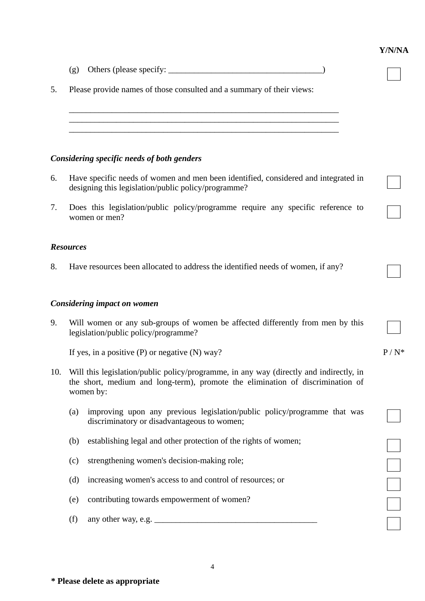|     |                                                                                                                                                                                       | Y/N/NA  |
|-----|---------------------------------------------------------------------------------------------------------------------------------------------------------------------------------------|---------|
|     | (g)                                                                                                                                                                                   |         |
| 5.  | Please provide names of those consulted and a summary of their views:                                                                                                                 |         |
|     |                                                                                                                                                                                       |         |
|     |                                                                                                                                                                                       |         |
|     | Considering specific needs of both genders                                                                                                                                            |         |
| 6.  | Have specific needs of women and men been identified, considered and integrated in<br>designing this legislation/public policy/programme?                                             |         |
| 7.  | Does this legislation/public policy/programme require any specific reference to<br>women or men?                                                                                      |         |
|     | <b>Resources</b>                                                                                                                                                                      |         |
| 8.  | Have resources been allocated to address the identified needs of women, if any?                                                                                                       |         |
|     | <b>Considering impact on women</b>                                                                                                                                                    |         |
| 9.  | Will women or any sub-groups of women be affected differently from men by this<br>legislation/public policy/programme?                                                                |         |
|     | If yes, in a positive $(P)$ or negative $(N)$ way?                                                                                                                                    | $P/N^*$ |
| 10. | Will this legislation/public policy/programme, in any way (directly and indirectly, in<br>the short, medium and long-term), promote the elimination of discrimination of<br>women by: |         |
|     | improving upon any previous legislation/public policy/programme that was<br>(a)<br>discriminatory or disadvantageous to women;                                                        |         |
|     | establishing legal and other protection of the rights of women;<br>(b)                                                                                                                |         |
|     | strengthening women's decision-making role;<br>(c)                                                                                                                                    |         |
|     | increasing women's access to and control of resources; or<br>(d)                                                                                                                      |         |
|     | contributing towards empowerment of women?<br>(e)                                                                                                                                     |         |
|     | (f)                                                                                                                                                                                   |         |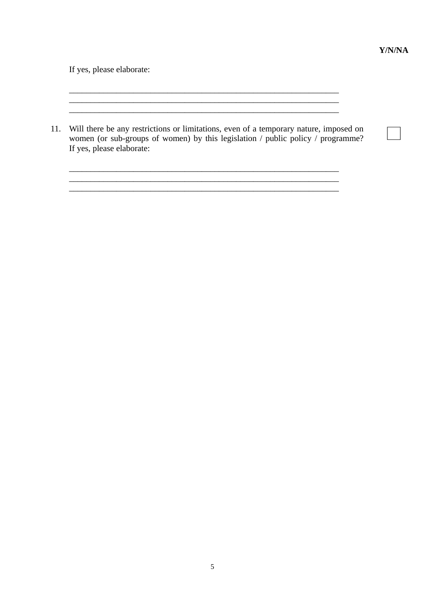If yes, please elaborate:

11. Will there be any restrictions or limitations, even of a temporary nature, imposed on women (or sub-groups of women) by this legislation / public policy / programme? If yes, please elaborate:

 $\mathcal{L}_\text{max}$  and  $\mathcal{L}_\text{max}$  and  $\mathcal{L}_\text{max}$  and  $\mathcal{L}_\text{max}$  and  $\mathcal{L}_\text{max}$  and  $\mathcal{L}_\text{max}$ 

\_\_\_\_\_\_\_\_\_\_\_\_\_\_\_\_\_\_\_\_\_\_\_\_\_\_\_\_\_\_\_\_\_\_\_\_\_\_\_\_\_\_\_\_\_\_\_\_\_\_\_\_\_\_\_\_\_\_\_\_\_\_\_  $\mathcal{L}_\text{max} = \mathcal{L}_\text{max} = \mathcal{L}_\text{max} = \mathcal{L}_\text{max} = \mathcal{L}_\text{max} = \mathcal{L}_\text{max} = \mathcal{L}_\text{max} = \mathcal{L}_\text{max} = \mathcal{L}_\text{max} = \mathcal{L}_\text{max} = \mathcal{L}_\text{max} = \mathcal{L}_\text{max} = \mathcal{L}_\text{max} = \mathcal{L}_\text{max} = \mathcal{L}_\text{max} = \mathcal{L}_\text{max} = \mathcal{L}_\text{max} = \mathcal{L}_\text{max} = \mathcal{$ 

\_\_\_\_\_\_\_\_\_\_\_\_\_\_\_\_\_\_\_\_\_\_\_\_\_\_\_\_\_\_\_\_\_\_\_\_\_\_\_\_\_\_\_\_\_\_\_\_\_\_\_\_\_\_\_\_\_\_\_\_\_\_\_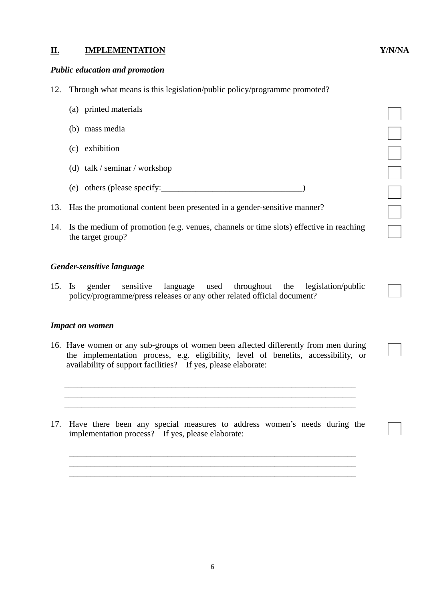## **II. IMPLEMENTATION Y/N/NA**

#### *Public education and promotion*

- 12. Through what means is this legislation/public policy/programme promoted?
	- $(a)$  printed materials
	- (b) mass media  $\Box$
	- $(c)$  exhibition  $\Box$
	-
	- (e) others (please specify:  $\qquad \qquad$  )
- 13. Has the promotional content been presented in a gender-sensitive manner?
- (c) exhibition<br>
(d) talk / seminar / workshop<br>
(e) others (please specify:<br>  $\Box$ <br>
Has the promotional content been presented in a gender-sensitive manner?<br>
Is the medium of promotion (e.g. venues, channels or time slots) 14. Is the medium of promotion (e.g. venues, channels or time slots) effective in reaching the target group?

#### *Gender-sensitive language*

15. Is gender sensitive language used throughout the legislation/public policy/programme/press releases or any other related official document?

#### *Impact on women*

16. Have women or any sub-groups of women been affected differently from men during the implementation process, e.g. eligibility, level of benefits, accessibility, or availability of support facilities? If yes, please elaborate:

\_\_\_\_\_\_\_\_\_\_\_\_\_\_\_\_\_\_\_\_\_\_\_\_\_\_\_\_\_\_\_\_\_\_\_\_\_\_\_\_\_\_\_\_\_\_\_\_\_\_\_\_\_\_\_\_\_\_\_\_\_\_\_\_\_\_\_\_

\_\_\_\_\_\_\_\_\_\_\_\_\_\_\_\_\_\_\_\_\_\_\_\_\_\_\_\_\_\_\_\_\_\_\_\_\_\_\_\_\_\_\_\_\_\_\_\_\_\_\_\_\_\_\_\_\_\_\_\_\_\_\_\_\_\_\_\_

17. Have there been any special measures to address women's needs during the implementation process? If yes, please elaborate:

\_\_\_\_\_\_\_\_\_\_\_\_\_\_\_\_\_\_\_\_\_\_\_\_\_\_\_\_\_\_\_\_\_\_\_\_\_\_\_\_\_\_\_\_\_\_\_\_\_\_\_\_\_\_\_\_\_\_\_\_\_\_\_\_\_\_\_

\_\_\_\_\_\_\_\_\_\_\_\_\_\_\_\_\_\_\_\_\_\_\_\_\_\_\_\_\_\_\_\_\_\_\_\_\_\_\_\_\_\_\_\_\_\_\_\_\_\_\_\_\_\_\_\_\_\_\_\_\_\_\_\_\_\_\_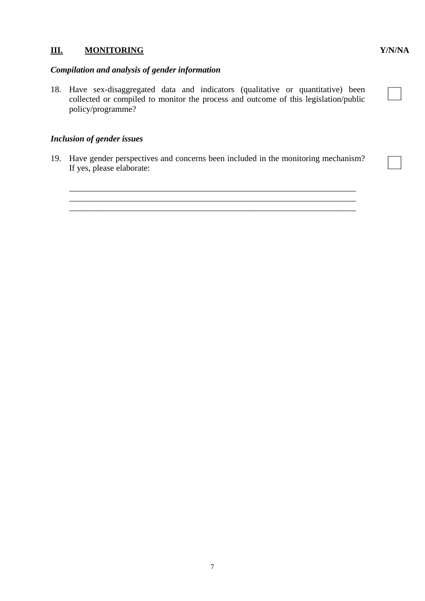# **III. MONITORING Y/N/NA**

# *Compilation and analysis of gender information*

18. Have sex-disaggregated data and indicators (qualitative or quantitative) been collected or compiled to monitor the process and outcome of this legislation/public policy/programme?

## *Inclusion of gender issues*

19. Have gender perspectives and concerns been included in the monitoring mechanism? If yes, please elaborate:

\_\_\_\_\_\_\_\_\_\_\_\_\_\_\_\_\_\_\_\_\_\_\_\_\_\_\_\_\_\_\_\_\_\_\_\_\_\_\_\_\_\_\_\_\_\_\_\_\_\_\_\_\_\_\_\_\_\_\_\_\_\_\_\_\_\_\_ \_\_\_\_\_\_\_\_\_\_\_\_\_\_\_\_\_\_\_\_\_\_\_\_\_\_\_\_\_\_\_\_\_\_\_\_\_\_\_\_\_\_\_\_\_\_\_\_\_\_\_\_\_\_\_\_\_\_\_\_\_\_\_\_\_\_\_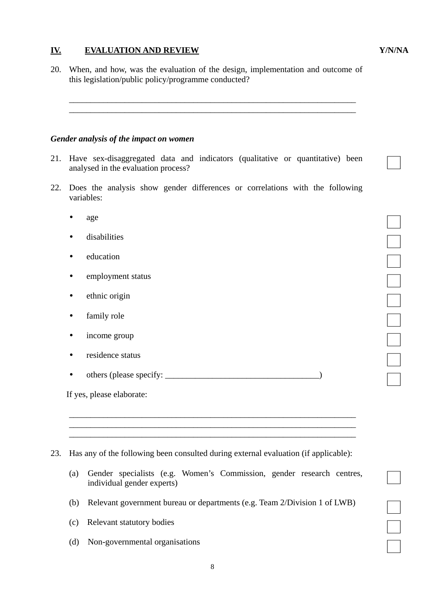# **IV. EVALUATION AND REVIEW Y/N/NA**

20. When, and how, was the evaluation of the design, implementation and outcome of this legislation/public policy/programme conducted?

 \_\_\_\_\_\_\_\_\_\_\_\_\_\_\_\_\_\_\_\_\_\_\_\_\_\_\_\_\_\_\_\_\_\_\_\_\_\_\_\_\_\_\_\_\_\_\_\_\_\_\_\_\_\_\_\_\_\_\_\_\_\_\_\_\_\_\_ \_\_\_\_\_\_\_\_\_\_\_\_\_\_\_\_\_\_\_\_\_\_\_\_\_\_\_\_\_\_\_\_\_\_\_\_\_\_\_\_\_\_\_\_\_\_\_\_\_\_\_\_\_\_\_\_\_\_\_\_\_\_\_\_\_\_\_

### *Gender analysis of the impact on women*

- 21. Have sex-disaggregated data and indicators (qualitative or quantitative) been analysed in the evaluation process?
- 22. Does the analysis show gender differences or correlations with the following variables:
	- $q$  age  $q$
	- disabilities □
	- education □
	- employment status □
	- ethnic origin □
	- family role □
	- income group □
	- residence status □
	- <sup>y</sup> others (please specify: \_\_\_\_\_\_\_\_\_\_\_\_\_\_\_\_\_\_\_\_\_\_\_\_\_\_\_\_\_\_\_\_\_\_\_\_) □

If yes, please elaborate:

23. Has any of the following been consulted during external evaluation (if applicable):

\_\_\_\_\_\_\_\_\_\_\_\_\_\_\_\_\_\_\_\_\_\_\_\_\_\_\_\_\_\_\_\_\_\_\_\_\_\_\_\_\_\_\_\_\_\_\_\_\_\_\_\_\_\_\_\_\_\_\_\_\_\_\_\_\_\_\_

 $\overline{\phantom{a}}$  ,  $\overline{\phantom{a}}$  ,  $\overline{\phantom{a}}$  ,  $\overline{\phantom{a}}$  ,  $\overline{\phantom{a}}$  ,  $\overline{\phantom{a}}$  ,  $\overline{\phantom{a}}$  ,  $\overline{\phantom{a}}$  ,  $\overline{\phantom{a}}$  ,  $\overline{\phantom{a}}$  ,  $\overline{\phantom{a}}$  ,  $\overline{\phantom{a}}$  ,  $\overline{\phantom{a}}$  ,  $\overline{\phantom{a}}$  ,  $\overline{\phantom{a}}$  ,  $\overline{\phantom{a}}$ 

- (a) Gender specialists (e.g. Women's Commission, gender research centres, individual gender experts) □
- (b) Relevant government bureau or departments (e.g. Team 2/Division 1 of LWB)<br>
(c) Relevant statutory bodies
- (c) Relevant statutory bodies
- $(d)$  Non-governmental organisations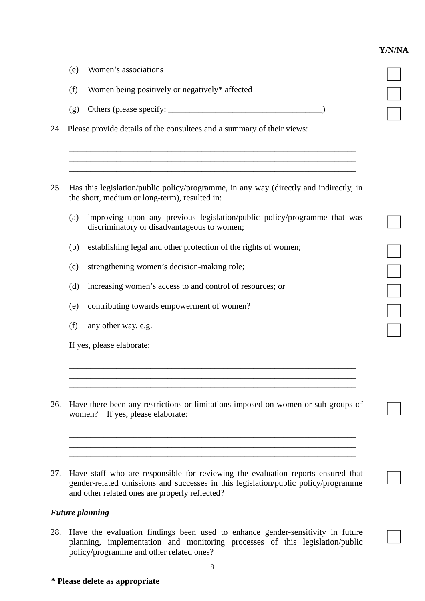## **Y/N/NA**

|     | (e) | Women's associations                                                                                                                                                                                                     |
|-----|-----|--------------------------------------------------------------------------------------------------------------------------------------------------------------------------------------------------------------------------|
|     | (f) | Women being positively or negatively* affected                                                                                                                                                                           |
|     | (g) |                                                                                                                                                                                                                          |
|     |     | 24. Please provide details of the consultees and a summary of their views:                                                                                                                                               |
|     |     |                                                                                                                                                                                                                          |
| 25. |     | Has this legislation/public policy/programme, in any way (directly and indirectly, in<br>the short, medium or long-term), resulted in:                                                                                   |
|     | (a) | improving upon any previous legislation/public policy/programme that was<br>discriminatory or disadvantageous to women;                                                                                                  |
|     | (b) | establishing legal and other protection of the rights of women;                                                                                                                                                          |
|     | (c) | strengthening women's decision-making role;                                                                                                                                                                              |
|     | (d) | increasing women's access to and control of resources; or                                                                                                                                                                |
|     | (e) | contributing towards empowerment of women?                                                                                                                                                                               |
|     | (f) |                                                                                                                                                                                                                          |
|     |     | If yes, please elaborate:                                                                                                                                                                                                |
|     |     |                                                                                                                                                                                                                          |
| 26. |     | Have there been any restrictions or limitations imposed on women or sub-groups of<br>women? If yes, please elaborate:                                                                                                    |
|     |     |                                                                                                                                                                                                                          |
| 27. |     | Have staff who are responsible for reviewing the evaluation reports ensured that<br>gender-related omissions and successes in this legislation/public policy/programme<br>and other related ones are properly reflected? |

# *Future planning*

28. Have the evaluation findings been used to enhance gender-sensitivity in future planning, implementation and monitoring processes of this legislation/public □ policy/programme and other related ones?